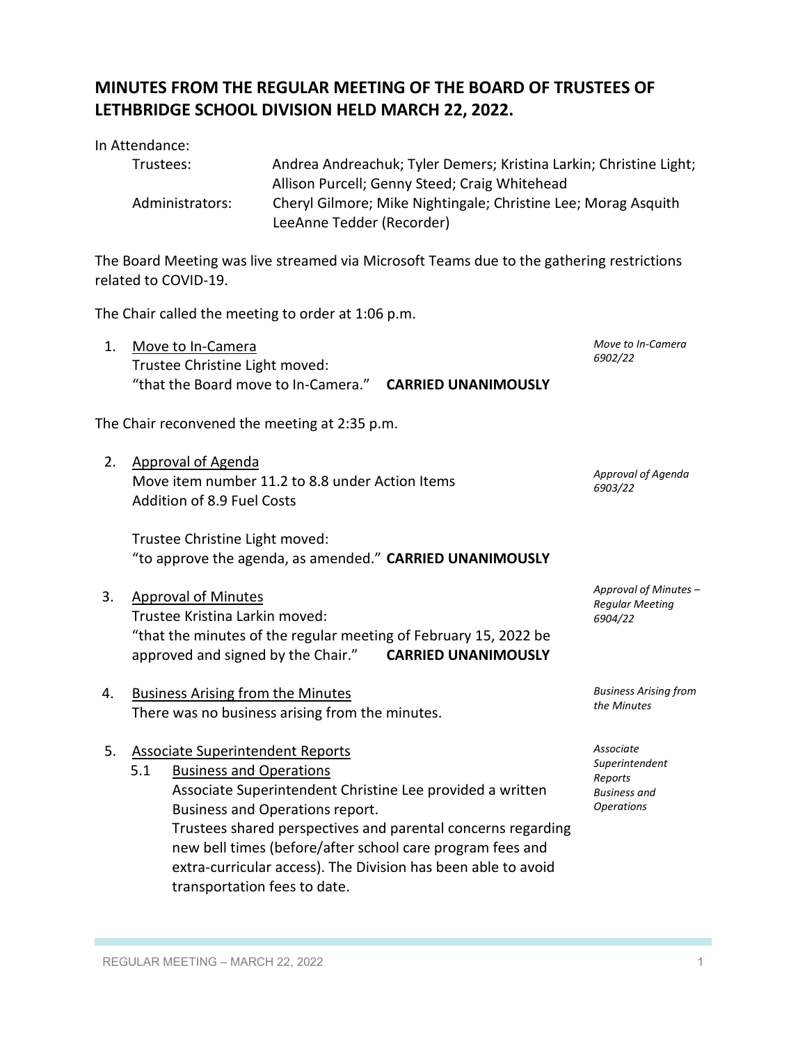## **MINUTES FROM THE REGULAR MEETING OF THE BOARD OF TRUSTEES OF LETHBRIDGE SCHOOL DIVISION HELD MARCH 22, 2022.**

| Trustees:       | Andrea Andreachuk; Tyler Demers; Kristina Larkin; Christine Light; |
|-----------------|--------------------------------------------------------------------|
|                 | Allison Purcell; Genny Steed; Craig Whitehead                      |
| Administrators: | Cheryl Gilmore; Mike Nightingale; Christine Lee; Morag Asquith     |
|                 | LeeAnne Tedder (Recorder)                                          |

The Board Meeting was live streamed via Microsoft Teams due to the gathering restrictions related to COVID-19.

The Chair called the meeting to order at 1:06 p.m.

1. Move to In-Camera Trustee Christine Light moved: "that the Board move to In-Camera." **CARRIED UNANIMOUSLY** *Move to In-Camera 6902/22*

The Chair reconvened the meeting at 2:35 p.m.

2. Approval of Agenda Move item number 11.2 to 8.8 under Action Items Addition of 8.9 Fuel Costs

Trustee Christine Light moved: "to approve the agenda, as amended." **CARRIED UNANIMOUSLY**

- 3. Approval of Minutes Trustee Kristina Larkin moved: "that the minutes of the regular meeting of February 15, 2022 be approved and signed by the Chair." **CARRIED UNANIMOUSLY**
- 4. Business Arising from the Minutes There was no business arising from the minutes.

## 5. Associate Superintendent Reports

| 5.1 | <b>Business and Operations</b>                                |
|-----|---------------------------------------------------------------|
|     | Associate Superintendent Christine Lee provided a written     |
|     | Business and Operations report.                               |
|     | Trustees shared perspectives and parental concerns regarding  |
|     | new bell times (before/after school care program fees and     |
|     | extra-curricular access). The Division has been able to avoid |
|     | transportation fees to date.                                  |
|     |                                                               |

*Approval of Minutes – Regular Meeting 6904/22*

*Approval of Agenda*

*6903/22*

*Business Arising from the Minutes*

*Associate Superintendent Reports Business and Operations*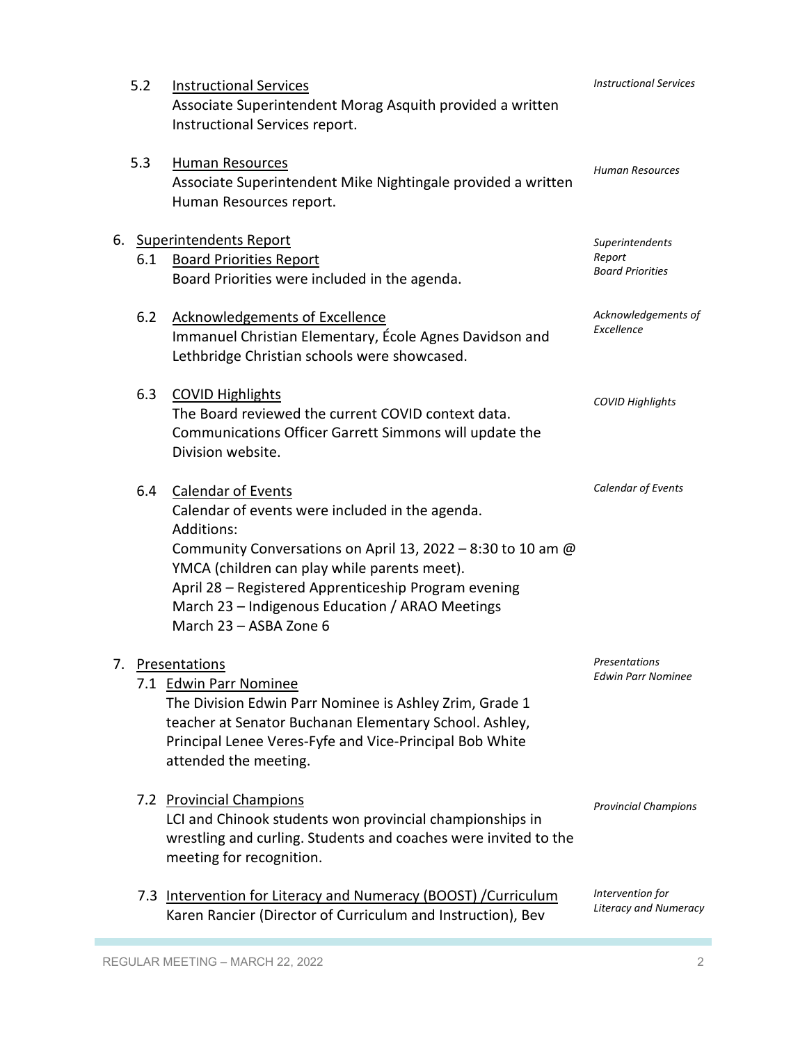| 5.2 | <b>Instructional Services</b><br>Associate Superintendent Morag Asquith provided a written<br>Instructional Services report.                                                                                                                                                                                                                          | <b>Instructional Services</b>                        |
|-----|-------------------------------------------------------------------------------------------------------------------------------------------------------------------------------------------------------------------------------------------------------------------------------------------------------------------------------------------------------|------------------------------------------------------|
| 5.3 | <b>Human Resources</b><br>Associate Superintendent Mike Nightingale provided a written<br>Human Resources report.                                                                                                                                                                                                                                     | <b>Human Resources</b>                               |
| 6.1 | 6. Superintendents Report<br><b>Board Priorities Report</b><br>Board Priorities were included in the agenda.                                                                                                                                                                                                                                          | Superintendents<br>Report<br><b>Board Priorities</b> |
| 6.2 | <b>Acknowledgements of Excellence</b><br>Immanuel Christian Elementary, École Agnes Davidson and<br>Lethbridge Christian schools were showcased.                                                                                                                                                                                                      | Acknowledgements of<br>Excellence                    |
| 6.3 | <b>COVID Highlights</b><br>The Board reviewed the current COVID context data.<br>Communications Officer Garrett Simmons will update the<br>Division website.                                                                                                                                                                                          | <b>COVID Highlights</b>                              |
| 6.4 | <b>Calendar of Events</b><br>Calendar of events were included in the agenda.<br><b>Additions:</b><br>Community Conversations on April 13, 2022 - 8:30 to 10 am @<br>YMCA (children can play while parents meet).<br>April 28 - Registered Apprenticeship Program evening<br>March 23 - Indigenous Education / ARAO Meetings<br>March 23 - ASBA Zone 6 | Calendar of Events                                   |
|     | Presentations<br>7.1 Edwin Parr Nominee<br>The Division Edwin Parr Nominee is Ashley Zrim, Grade 1<br>teacher at Senator Buchanan Elementary School. Ashley,<br>Principal Lenee Veres-Fyfe and Vice-Principal Bob White<br>attended the meeting.                                                                                                      | Presentations<br><b>Edwin Parr Nominee</b>           |
|     | 7.2 Provincial Champions<br>LCI and Chinook students won provincial championships in<br>wrestling and curling. Students and coaches were invited to the<br>meeting for recognition.                                                                                                                                                                   | <b>Provincial Champions</b>                          |
|     | 7.3 Intervention for Literacy and Numeracy (BOOST) / Curriculum<br>Karen Rancier (Director of Curriculum and Instruction), Bev                                                                                                                                                                                                                        | Intervention for<br><b>Literacy and Numeracy</b>     |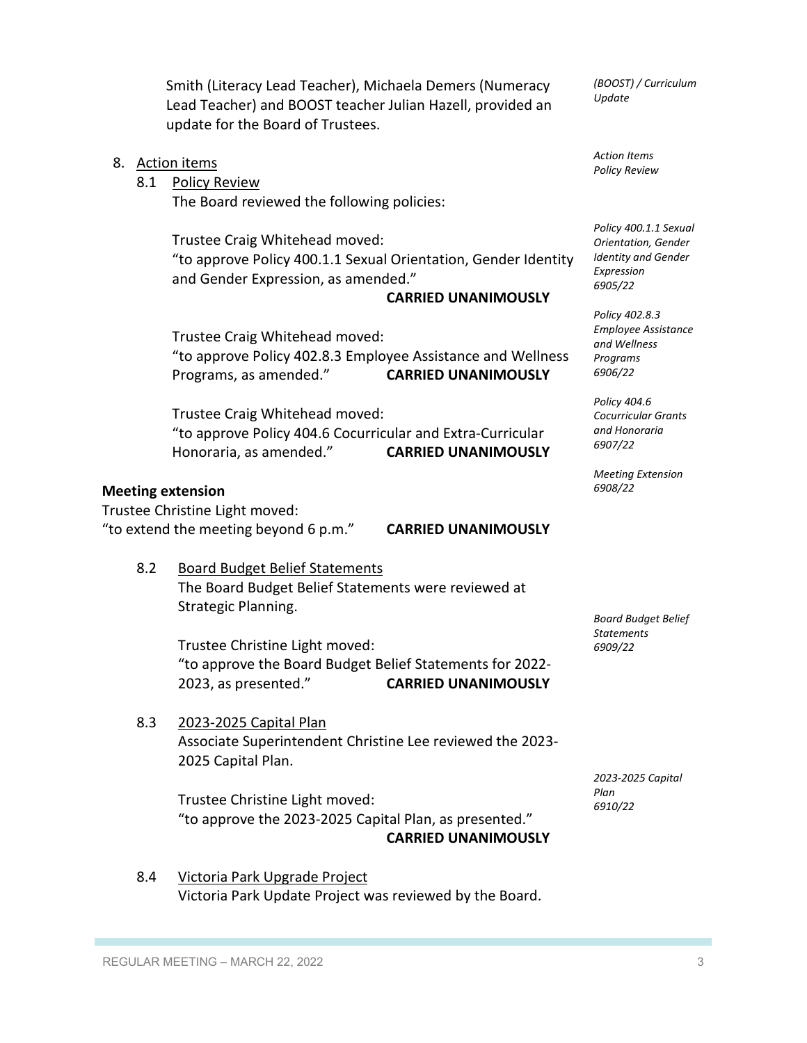|                                                                                                       |     | Smith (Literacy Lead Teacher), Michaela Demers (Numeracy<br>Lead Teacher) and BOOST teacher Julian Hazell, provided an<br>update for the Board of Trustees.           | (BOOST) / Curriculum<br>Update                                                                      |
|-------------------------------------------------------------------------------------------------------|-----|-----------------------------------------------------------------------------------------------------------------------------------------------------------------------|-----------------------------------------------------------------------------------------------------|
|                                                                                                       | 8.1 | 8. Action items<br><b>Policy Review</b><br>The Board reviewed the following policies:                                                                                 | <b>Action Items</b><br><b>Policy Review</b>                                                         |
|                                                                                                       |     | Trustee Craig Whitehead moved:<br>"to approve Policy 400.1.1 Sexual Orientation, Gender Identity<br>and Gender Expression, as amended."<br><b>CARRIED UNANIMOUSLY</b> | Policy 400.1.1 Sexual<br>Orientation, Gender<br><b>Identity and Gender</b><br>Expression<br>6905/22 |
|                                                                                                       |     | Trustee Craig Whitehead moved:<br>"to approve Policy 402.8.3 Employee Assistance and Wellness<br>Programs, as amended."<br><b>CARRIED UNANIMOUSLY</b>                 | Policy 402.8.3<br><b>Employee Assistance</b><br>and Wellness<br>Programs<br>6906/22                 |
|                                                                                                       |     | Trustee Craig Whitehead moved:<br>"to approve Policy 404.6 Cocurricular and Extra-Curricular<br><b>CARRIED UNANIMOUSLY</b><br>Honoraria, as amended."                 | Policy 404.6<br><b>Cocurricular Grants</b><br>and Honoraria<br>6907/22                              |
| <b>Meeting extension</b>                                                                              |     | <b>Meeting Extension</b><br>6908/22                                                                                                                                   |                                                                                                     |
| Trustee Christine Light moved:<br>"to extend the meeting beyond 6 p.m."<br><b>CARRIED UNANIMOUSLY</b> |     |                                                                                                                                                                       |                                                                                                     |
|                                                                                                       | 8.2 | <b>Board Budget Belief Statements</b><br>The Board Budget Belief Statements were reviewed at<br>Strategic Planning.                                                   | <b>Board Budget Belief</b>                                                                          |
|                                                                                                       |     | Trustee Christine Light moved:<br>"to approve the Board Budget Belief Statements for 2022-<br>2023, as presented."<br><b>CARRIED UNANIMOUSLY</b>                      | <b>Statements</b><br>6909/22                                                                        |
|                                                                                                       | 8.3 | 2023-2025 Capital Plan<br>Associate Superintendent Christine Lee reviewed the 2023-<br>2025 Capital Plan.                                                             | 2023-2025 Capital                                                                                   |
|                                                                                                       |     | Trustee Christine Light moved:<br>"to approve the 2023-2025 Capital Plan, as presented."<br><b>CARRIED UNANIMOUSLY</b>                                                | Plan<br>6910/22                                                                                     |

8.4 Victoria Park Upgrade Project Victoria Park Update Project was reviewed by the Board.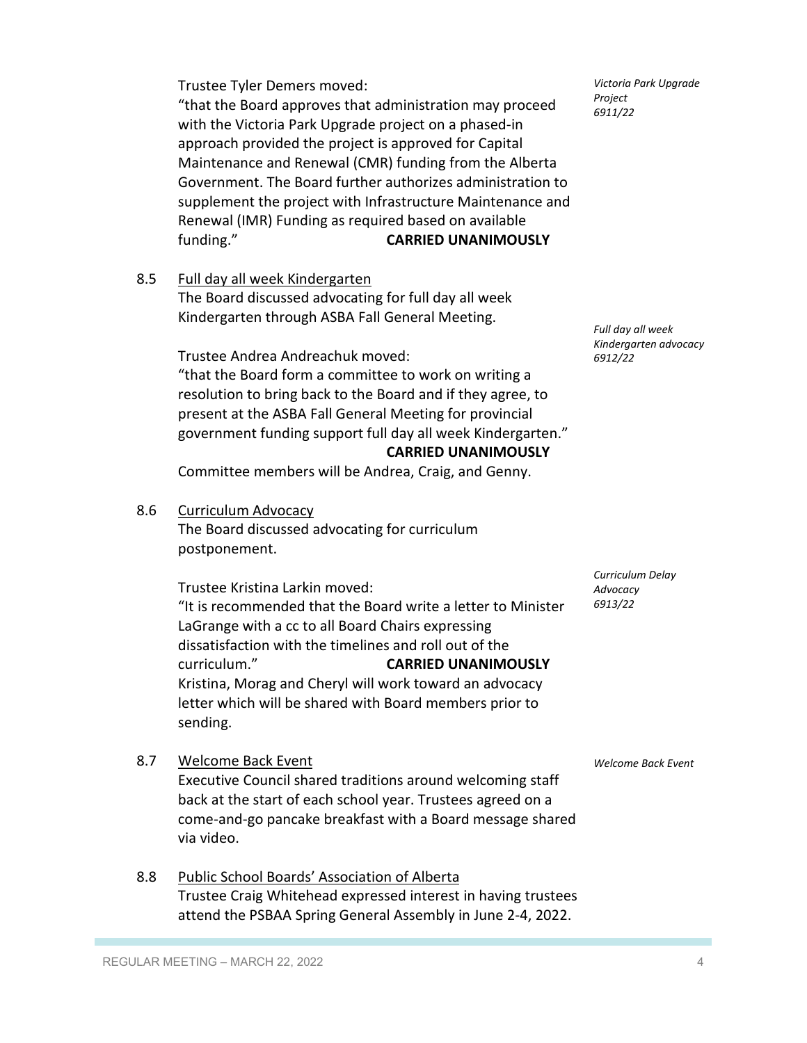Trustee Tyler Demers moved:

"that the Board approves that administration may proceed with the Victoria Park Upgrade project on a phased-in approach provided the project is approved for Capital Maintenance and Renewal (CMR) funding from the Alberta Government. The Board further authorizes administration to supplement the project with Infrastructure Maintenance and Renewal (IMR) Funding as required based on available funding." **CARRIED UNANIMOUSLY**

8.5 Full day all week Kindergarten

The Board discussed advocating for full day all week Kindergarten through ASBA Fall General Meeting.

Trustee Andrea Andreachuk moved:

"that the Board form a committee to work on writing a resolution to bring back to the Board and if they agree, to present at the ASBA Fall General Meeting for provincial government funding support full day all week Kindergarten."  **CARRIED UNANIMOUSLY**

Committee members will be Andrea, Craig, and Genny.

8.6 Curriculum Advocacy

The Board discussed advocating for curriculum postponement.

Trustee Kristina Larkin moved: "It is recommended that the Board write a letter to Minister LaGrange with a cc to all Board Chairs expressing dissatisfaction with the timelines and roll out of the curriculum." **CARRIED UNANIMOUSLY** Kristina, Morag and Cheryl will work toward an advocacy letter which will be shared with Board members prior to sending.

*Curriculum Delay Advocacy 6913/22*

*Full day all week Kindergarten advocacy*

*6912/22*

*Welcome Back Event*

8.7 Welcome Back Event

Executive Council shared traditions around welcoming staff back at the start of each school year. Trustees agreed on a come-and-go pancake breakfast with a Board message shared via video.

8.8 Public School Boards' Association of Alberta Trustee Craig Whitehead expressed interest in having trustees attend the PSBAA Spring General Assembly in June 2-4, 2022.

*Victoria Park Upgrade Project 6911/22*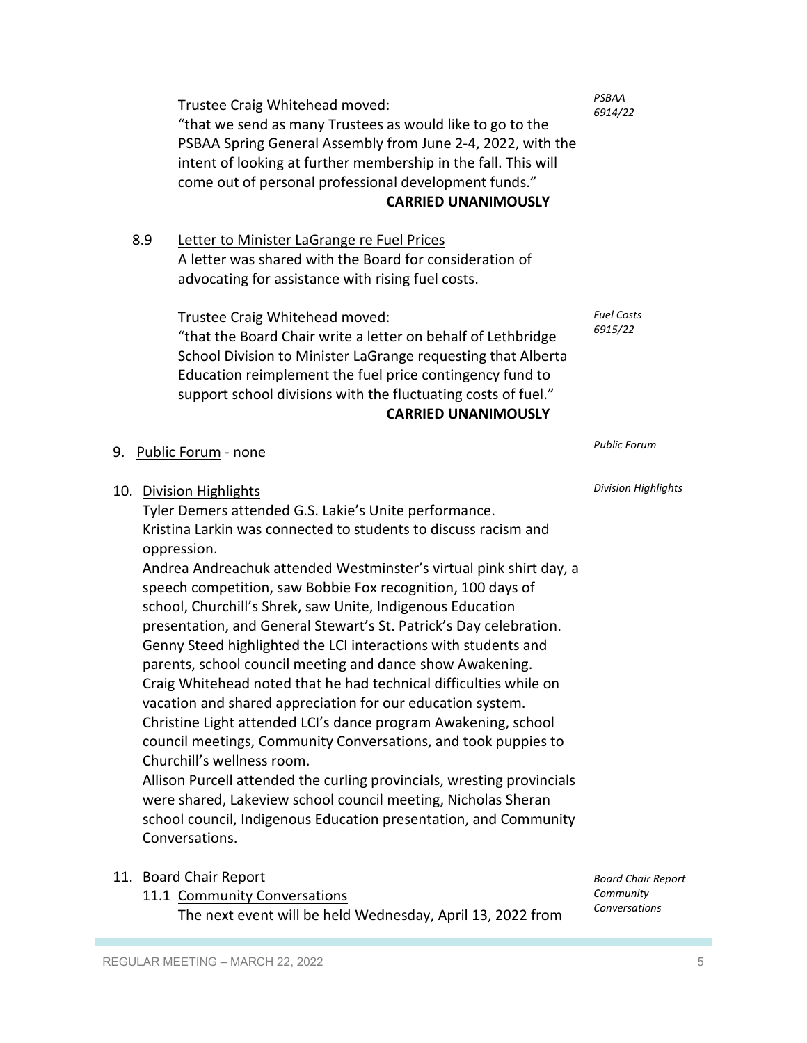Trustee Craig Whitehead moved: "that we send as many Trustees as would like to go to the PSBAA Spring General Assembly from June 2-4, 2022, with the intent of looking at further membership in the fall. This will come out of personal professional development funds." **CARRIED UNANIMOUSLY**

8.9 Letter to Minister LaGrange re Fuel Prices A letter was shared with the Board for consideration of advocating for assistance with rising fuel costs.

Trustee Craig Whitehead moved:

"that the Board Chair write a letter on behalf of Lethbridge School Division to Minister LaGrange requesting that Alberta Education reimplement the fuel price contingency fund to support school divisions with the fluctuating costs of fuel." **CARRIED UNANIMOUSLY**

*Fuel Costs 6915/22* 

*Public Forum*

*Division Highlights*

*PSBAA 6914/22* 

9. Public Forum - none

10. Division Highlights

Tyler Demers attended G.S. Lakie's Unite performance. Kristina Larkin was connected to students to discuss racism and oppression.

Andrea Andreachuk attended Westminster's virtual pink shirt day, a speech competition, saw Bobbie Fox recognition, 100 days of school, Churchill's Shrek, saw Unite, Indigenous Education presentation, and General Stewart's St. Patrick's Day celebration. Genny Steed highlighted the LCI interactions with students and parents, school council meeting and dance show Awakening. Craig Whitehead noted that he had technical difficulties while on vacation and shared appreciation for our education system. Christine Light attended LCI's dance program Awakening, school council meetings, Community Conversations, and took puppies to Churchill's wellness room.

Allison Purcell attended the curling provincials, wresting provincials were shared, Lakeview school council meeting, Nicholas Sheran school council, Indigenous Education presentation, and Community Conversations.

11. Board Chair Report 11.1 Community Conversations

The next event will be held Wednesday, April 13, 2022 from

*Board Chair Report Community Conversations*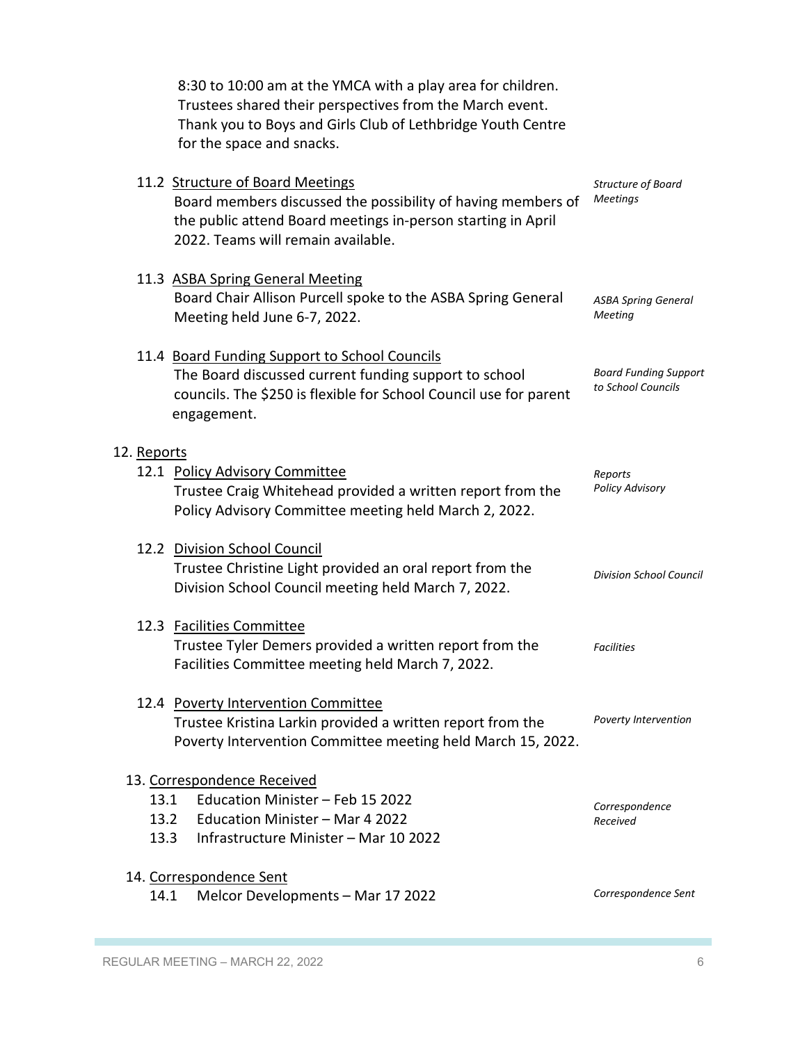8:30 to 10:00 am at the YMCA with a play area for children. Trustees shared their perspectives from the March event. Thank you to Boys and Girls Club of Lethbridge Youth Centre for the space and snacks.

|                             | 11.2 Structure of Board Meetings<br>Board members discussed the possibility of having members of<br>the public attend Board meetings in-person starting in April<br>2022. Teams will remain available. | Structure of Board<br><b>Meetings</b>              |  |
|-----------------------------|--------------------------------------------------------------------------------------------------------------------------------------------------------------------------------------------------------|----------------------------------------------------|--|
|                             | 11.3 ASBA Spring General Meeting<br>Board Chair Allison Purcell spoke to the ASBA Spring General<br>Meeting held June 6-7, 2022.                                                                       | <b>ASBA Spring General</b><br>Meeting              |  |
|                             | 11.4 Board Funding Support to School Councils<br>The Board discussed current funding support to school<br>councils. The \$250 is flexible for School Council use for parent<br>engagement.             | <b>Board Funding Support</b><br>to School Councils |  |
| 12. Reports                 |                                                                                                                                                                                                        |                                                    |  |
|                             | 12.1 Policy Advisory Committee<br>Trustee Craig Whitehead provided a written report from the<br>Policy Advisory Committee meeting held March 2, 2022.                                                  | Reports<br><b>Policy Advisory</b>                  |  |
|                             | 12.2 Division School Council<br>Trustee Christine Light provided an oral report from the<br>Division School Council meeting held March 7, 2022.                                                        | <b>Division School Council</b>                     |  |
|                             | 12.3 Facilities Committee<br>Trustee Tyler Demers provided a written report from the<br>Facilities Committee meeting held March 7, 2022.                                                               | <b>Facilities</b>                                  |  |
|                             | 12.4 Poverty Intervention Committee<br>Trustee Kristina Larkin provided a written report from the<br>Poverty Intervention Committee meeting held March 15, 2022.                                       | Poverty Intervention                               |  |
| 13. Correspondence Received |                                                                                                                                                                                                        |                                                    |  |
| 13.1                        | Education Minister - Feb 15 2022<br>13.2 Education Minister - Mar 4 2022<br>13.3<br>Infrastructure Minister – Mar 10 2022                                                                              | Correspondence<br>Received                         |  |
| 14. Correspondence Sent     |                                                                                                                                                                                                        |                                                    |  |
| 14.1                        | Melcor Developments - Mar 17 2022                                                                                                                                                                      | Correspondence Sent                                |  |